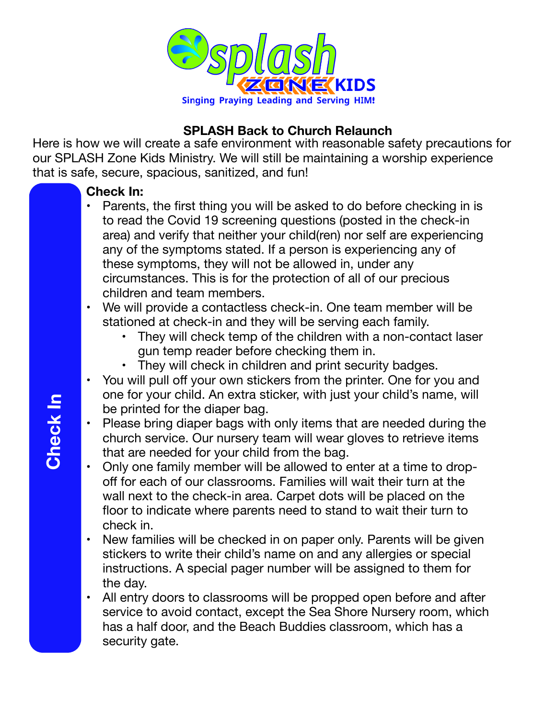

# **SPLASH Back to Church Relaunch**

Here is how we will create a safe environment with reasonable safety precautions for our SPLASH Zone Kids Ministry. We will still be maintaining a worship experience that is safe, secure, spacious, sanitized, and fun!

## **Check In:**

- Parents, the first thing you will be asked to do before checking in is to read the Covid 19 screening questions (posted in the check-in area) and verify that neither your child(ren) nor self are experiencing any of the symptoms stated. If a person is experiencing any of these symptoms, they will not be allowed in, under any circumstances. This is for the protection of all of our precious children and team members.
- We will provide a contactless check-in. One team member will be stationed at check-in and they will be serving each family.
	- They will check temp of the children with a non-contact laser gun temp reader before checking them in.
	- They will check in children and print security badges.
- You will pull off your own stickers from the printer. One for you and one for your child. An extra sticker, with just your child's name, will be printed for the diaper bag.
- Please bring diaper bags with only items that are needed during the church service. Our nursery team will wear gloves to retrieve items that are needed for your child from the bag.
- Only one family member will be allowed to enter at a time to dropoff for each of our classrooms. Families will wait their turn at the wall next to the check-in area. Carpet dots will be placed on the floor to indicate where parents need to stand to wait their turn to check in.
- New families will be checked in on paper only. Parents will be given stickers to write their child's name on and any allergies or special instructions. A special pager number will be assigned to them for the day.
- All entry doors to classrooms will be propped open before and after service to avoid contact, except the Sea Shore Nursery room, which has a half door, and the Beach Buddies classroom, which has a security gate.

Check In **Check In**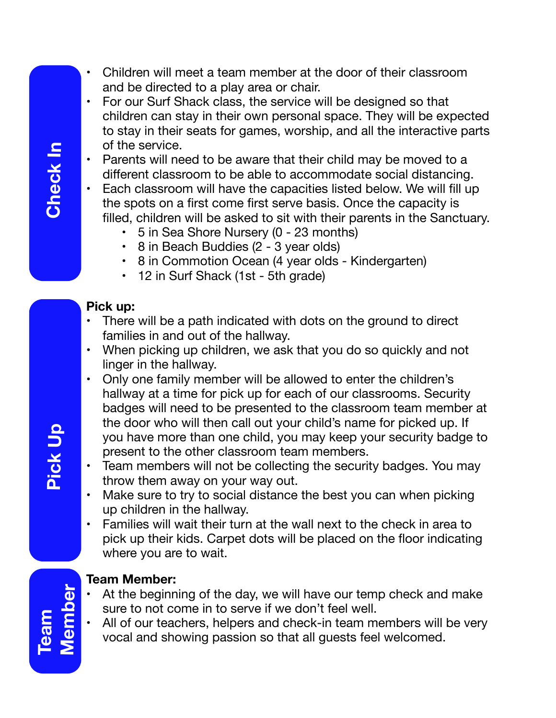- Children will meet a team member at the door of their classroom and be directed to a play area or chair.
- For our Surf Shack class, the service will be designed so that children can stay in their own personal space. They will be expected to stay in their seats for games, worship, and all the interactive parts of the service.

• Parents will need to be aware that their child may be moved to a different classroom to be able to accommodate social distancing.

- Each classroom will have the capacities listed below. We will fill up the spots on a first come first serve basis. Once the capacity is filled, children will be asked to sit with their parents in the Sanctuary.
	- 5 in Sea Shore Nursery (0 23 months)
	- 8 in Beach Buddies (2 3 year olds)
	- 8 in Commotion Ocean (4 year olds Kindergarten)
	- 12 in Surf Shack (1st 5th grade)

### **Pick up:**

- There will be a path indicated with dots on the ground to direct families in and out of the hallway.
- When picking up children, we ask that you do so quickly and not linger in the hallway.
- Only one family member will be allowed to enter the children's hallway at a time for pick up for each of our classrooms. Security badges will need to be presented to the classroom team member at the door who will then call out your child's name for picked up. If you have more than one child, you may keep your security badge to present to the other classroom team members.
- Team members will not be collecting the security badges. You may throw them away on your way out.
- Make sure to try to social distance the best you can when picking up children in the hallway.
- Families will wait their turn at the wall next to the check in area to pick up their kids. Carpet dots will be placed on the floor indicating where you are to wait.

## **Team Member:**

- At the beginning of the day, we will have our temp check and make sure to not come in to serve if we don't feel well.
- All of our teachers, helpers and check-in team members will be very vocal and showing passion so that all guests feel welcomed.

**Pick Up**

**Team Member**